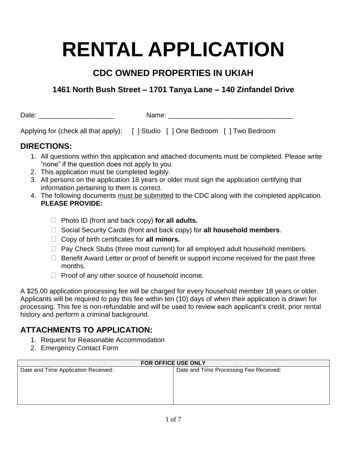# **RENTAL APPLICATION**

# **CDC OWNED PROPERTIES IN UKIAH**

# **1461 North Bush Street – 1701 Tanya Lane – 140 Zinfandel Drive**

Date: \_\_\_\_\_\_\_\_\_\_\_\_\_\_\_\_\_\_\_\_ Name: \_\_\_\_\_\_\_\_\_\_\_\_\_\_\_\_\_\_\_\_\_\_\_\_\_\_\_\_\_\_\_\_\_

Applying for (check all that apply): [ ] Studio [ ] One Bedroom [ ] Two Bedroom

# **DIRECTIONS:**

- 1. All questions within this application and attached documents must be completed. Please write "none" if the question does not apply to you.
- 2. This application must be completed legibly.
- 3. All persons on the application 18 years or older must sign the application certifying that information pertaining to them is correct.
- 4. The following documents must be submitted to the CDC along with the completed application. **PLEASE PROVIDE:**
	- Photo ID (front and back copy) **for all adults.**
	- □ Social Security Cards (front and back copy) for **all household members**.
	- Copy of birth certificates for **all minors.**
	- $\Box$  Pay Check Stubs (three most current) for all employed adult household members.
	- $\Box$  Benefit Award Letter or proof of benefit or support income received for the past three months.
	- $\Box$  Proof of any other source of household income.

A \$25.00 application processing fee will be charged for every household member 18 years or older. Applicants will be required to pay this fee within ten (10) days of when their application is drawn for processing. This fee is non-refundable and will be used to review each applicant's credit, prior rental history and perform a criminal background.

# **ATTACHMENTS TO APPLICATION:**

- 1. Request for Reasonable Accommodation
- 2. Emergency Contact Form

| FOR OFFICE USE ONLY                 |                                        |  |
|-------------------------------------|----------------------------------------|--|
| Date and Time Application Received: | Date and Time Processing Fee Received: |  |
|                                     |                                        |  |
|                                     |                                        |  |
|                                     |                                        |  |
|                                     |                                        |  |
|                                     |                                        |  |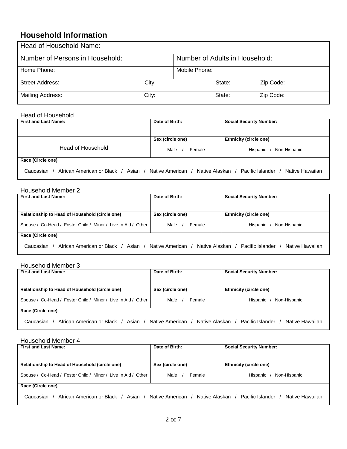## **Household Information**

| Head of Household Name:         |       |                                |           |
|---------------------------------|-------|--------------------------------|-----------|
| Number of Persons in Household: |       | Number of Adults in Household: |           |
| Home Phone:                     |       | Mobile Phone:                  |           |
| <b>Street Address:</b>          | City: | State:                         | Zip Code: |
| <b>Mailing Address:</b>         | City: | State:                         | Zip Code: |

## Head of Household

| <b>First and Last Name:</b>                      | Date of Birth:                     | <b>Social Security Number:</b>      |
|--------------------------------------------------|------------------------------------|-------------------------------------|
|                                                  |                                    |                                     |
|                                                  | Sex (circle one)                   | <b>Ethnicity (circle one)</b>       |
| Head of Household                                | Male<br>Female                     | Non-Hispanic<br>Hispanic            |
| Race (Circle one)                                |                                    |                                     |
| African American or Black / Asian /<br>Caucasian | Native American / Native Alaskan / | Pacific Islander<br>Native Hawaiian |

## Household Member 2

| <b>First and Last Name:</b>                                                                          | Date of Birth:   | <b>Social Security Number:</b> |
|------------------------------------------------------------------------------------------------------|------------------|--------------------------------|
| Relationship to Head of Household (circle one)                                                       | Sex (circle one) | <b>Ethnicity (circle one)</b>  |
| Spouse / Co-Head / Foster Child / Minor / Live In Aid / Other                                        | Male<br>Female   | Non-Hispanic<br>Hispanic       |
| Race (Circle one)                                                                                    |                  |                                |
| African American or Black / Asian / Native American / Native Alaskan / Pacific Islander<br>Caucasian |                  | Native Hawaiian                |

#### Household Member 3

| <b>First and Last Name:</b>                                   | Date of Birth:                        | <b>Social Security Number:</b>      |
|---------------------------------------------------------------|---------------------------------------|-------------------------------------|
| Relationship to Head of Household (circle one)                | Sex (circle one)                      | <b>Ethnicity (circle one)</b>       |
| Spouse / Co-Head / Foster Child / Minor / Live In Aid / Other | Male<br>Female                        | Non-Hispanic<br>Hispanic            |
| Race (Circle one)                                             |                                       |                                     |
| African American or Black / Asian /<br>Caucasian              | Native Alaskan /<br>Native American / | Pacific Islander<br>Native Hawaiian |

#### Household Member 4

| <b>First and Last Name:</b>                                                           | Date of Birth:   | <b>Social Security Number:</b>      |
|---------------------------------------------------------------------------------------|------------------|-------------------------------------|
| Relationship to Head of Household (circle one)                                        | Sex (circle one) | <b>Ethnicity (circle one)</b>       |
| Spouse / Co-Head / Foster Child / Minor / Live In Aid / Other                         | Male<br>Female   | Non-Hispanic<br>Hispanic /          |
| Race (Circle one)                                                                     |                  |                                     |
| African American or Black / Asian / Native American / Native Alaskan /<br>Caucasian / |                  | Native Hawaiian<br>Pacific Islander |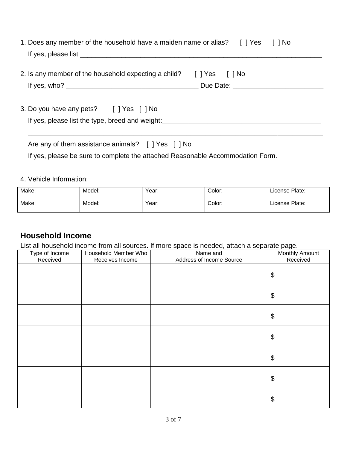| 1. Does any member of the household have a maiden name or alias? [] Yes [] No |  |  |
|-------------------------------------------------------------------------------|--|--|
| If yes, please list                                                           |  |  |

2. Is any member of the household expecting a child? [ ] Yes [ ] No If yes, who? \_\_\_\_\_\_\_\_\_\_\_\_\_\_\_\_\_\_\_\_\_\_\_\_\_\_\_\_\_\_\_\_\_\_\_ Due Date: \_\_\_\_\_\_\_\_\_\_\_\_\_\_\_\_\_\_\_\_\_\_\_\_

 $\overline{\phantom{a}}$  , and the contribution of the contribution of the contribution of the contribution of the contribution of the contribution of the contribution of the contribution of the contribution of the contribution of the

3. Do you have any pets? [ ] Yes [ ] No If yes, please list the type, breed and weight:\_\_\_\_\_\_\_\_\_\_\_\_\_\_\_\_\_\_\_\_\_\_\_\_\_\_\_\_\_\_\_\_\_\_\_\_\_\_\_\_\_\_

| Are any of them assistance animals? [ ] Yes [ ] No |  |
|----------------------------------------------------|--|
|                                                    |  |

If yes, please be sure to complete the attached Reasonable Accommodation Form.

## 4. Vehicle Information:

| Make: | Model: | Year: | Color: | License Plate: |
|-------|--------|-------|--------|----------------|
| Make: | Model: | Year: | Color: | License Plate: |

## **Household Income**

List all household income from all sources. If more space is needed, attach a separate page.

| Type of Income | Household Member Who | Name and                 | <u>ັ</u><br>Monthly Amount |
|----------------|----------------------|--------------------------|----------------------------|
| Received       | Receives Income      | Address of Income Source | Received                   |
|                |                      |                          | \$                         |
|                |                      |                          | \$                         |
|                |                      |                          | \$                         |
|                |                      |                          | \$                         |
|                |                      |                          | \$                         |
|                |                      |                          | \$                         |
|                |                      |                          | \$                         |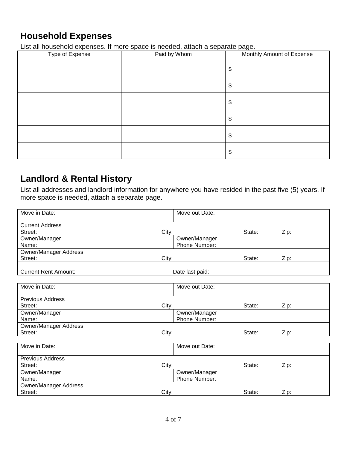# **Household Expenses**

List all household expenses. If more space is needed, attach a separate page.

| $\sim$<br>Type of Expense | $\sim$ $\sim$<br>Paid by Whom | ╰<br>Monthly Amount of Expense |
|---------------------------|-------------------------------|--------------------------------|
|                           |                               | \$                             |
|                           |                               | \$                             |
|                           |                               | \$                             |
|                           |                               | \$                             |
|                           |                               | \$                             |
|                           |                               | \$                             |

# **Landlord & Rental History**

List all addresses and landlord information for anywhere you have resided in the past five (5) years. If more space is needed, attach a separate page.

| Move in Date:                | Move out Date:  |        |      |  |
|------------------------------|-----------------|--------|------|--|
| <b>Current Address</b>       |                 |        |      |  |
| Street:                      | City:           | State: | Zip: |  |
| Owner/Manager                | Owner/Manager   |        |      |  |
| Name:                        | Phone Number:   |        |      |  |
| <b>Owner/Manager Address</b> |                 |        |      |  |
| Street:                      | City:           | State: | Zip: |  |
| <b>Current Rent Amount:</b>  | Date last paid: |        |      |  |
|                              |                 |        |      |  |
| Move in Date:                | Move out Date:  |        |      |  |
| <b>Previous Address</b>      |                 |        |      |  |
| Street:                      | City:           | State: | Zip: |  |
| Owner/Manager                | Owner/Manager   |        |      |  |
| Name:                        | Phone Number:   |        |      |  |
| <b>Owner/Manager Address</b> |                 |        |      |  |
| Street:                      | City:           | State: | Zip: |  |
|                              |                 |        |      |  |
| Move in Date:                | Move out Date:  |        |      |  |
| <b>Previous Address</b>      |                 |        |      |  |
| Street:                      | City:           | State: | Zip: |  |
| Owner/Manager                | Owner/Manager   |        |      |  |
| Name:                        | Phone Number:   |        |      |  |
| <b>Owner/Manager Address</b> |                 |        |      |  |
| Street:                      | City:           | State: | Zip: |  |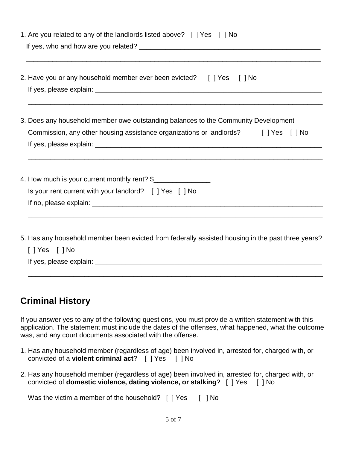| 1. Are you related to any of the landlords listed above? [ ] Yes [ ] No                                                                                                                                                                                                                            |  |  |
|----------------------------------------------------------------------------------------------------------------------------------------------------------------------------------------------------------------------------------------------------------------------------------------------------|--|--|
| 2. Have you or any household member ever been evicted? [ ] Yes [ ] No                                                                                                                                                                                                                              |  |  |
| 3. Does any household member owe outstanding balances to the Community Development<br>Commission, any other housing assistance organizations or landlords? [ ] Yes [ ] No<br><u> 1990 - John Harry Harry Harry Harry Harry Harry Harry Harry Harry Harry Harry Harry Harry Harry Harry Harry H</u> |  |  |
| 4. How much is your current monthly rent? \$<br>Is your rent current with your landlord? [ ] Yes [ ] No                                                                                                                                                                                            |  |  |
| 5. Has any household member been evicted from federally assisted housing in the past three years?<br>$[$ ] Yes $[$ ] No<br>If yes, please explain:                                                                                                                                                 |  |  |

# **Criminal History**

If you answer yes to any of the following questions, you must provide a written statement with this application. The statement must include the dates of the offenses, what happened, what the outcome was, and any court documents associated with the offense.

\_\_\_\_\_\_\_\_\_\_\_\_\_\_\_\_\_\_\_\_\_\_\_\_\_\_\_\_\_\_\_\_\_\_\_\_\_\_\_\_\_\_\_\_\_\_\_\_\_\_\_\_\_\_\_\_\_\_\_\_\_\_\_\_\_\_\_\_\_\_\_\_\_\_\_\_\_\_

- 1. Has any household member (regardless of age) been involved in, arrested for, charged with, or convicted of a **violent criminal act**? [ ] Yes [ ] No
- 2. Has any household member (regardless of age) been involved in, arrested for, charged with, or convicted of **domestic violence, dating violence, or stalking**? [ ] Yes [ ] No

Was the victim a member of the household? [ ] Yes [ ] No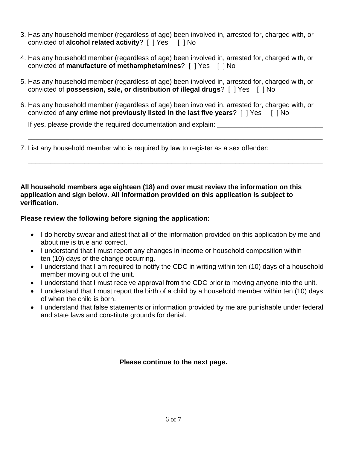- 3. Has any household member (regardless of age) been involved in, arrested for, charged with, or convicted of **alcohol related activity**? [ ] Yes [ ] No
- 4. Has any household member (regardless of age) been involved in, arrested for, charged with, or convicted of **manufacture of methamphetamines**? [ ] Yes [ ] No
- 5. Has any household member (regardless of age) been involved in, arrested for, charged with, or convicted of **possession, sale, or distribution of illegal drugs**? [ ] Yes [ ] No
- 6. Has any household member (regardless of age) been involved in, arrested for, charged with, or convicted of **any crime not previously listed in the last five years**? [ ] Yes [ ] No

\_\_\_\_\_\_\_\_\_\_\_\_\_\_\_\_\_\_\_\_\_\_\_\_\_\_\_\_\_\_\_\_\_\_\_\_\_\_\_\_\_\_\_\_\_\_\_\_\_\_\_\_\_\_\_\_\_\_\_\_\_\_\_\_\_\_\_\_\_\_\_\_\_\_\_\_\_\_

\_\_\_\_\_\_\_\_\_\_\_\_\_\_\_\_\_\_\_\_\_\_\_\_\_\_\_\_\_\_\_\_\_\_\_\_\_\_\_\_\_\_\_\_\_\_\_\_\_\_\_\_\_\_\_\_\_\_\_\_\_\_\_\_\_\_\_\_\_\_\_\_\_\_\_\_\_\_

If yes, please provide the required documentation and explain:

7. List any household member who is required by law to register as a sex offender:

## **All household members age eighteen (18) and over must review the information on this application and sign below. All information provided on this application is subject to verification.**

## **Please review the following before signing the application:**

- I do hereby swear and attest that all of the information provided on this application by me and about me is true and correct.
- I understand that I must report any changes in income or household composition within ten (10) days of the change occurring.
- I understand that I am required to notify the CDC in writing within ten (10) days of a household member moving out of the unit.
- I understand that I must receive approval from the CDC prior to moving anyone into the unit.
- I understand that I must report the birth of a child by a household member within ten (10) days of when the child is born.
- I understand that false statements or information provided by me are punishable under federal and state laws and constitute grounds for denial.

## **Please continue to the next page.**